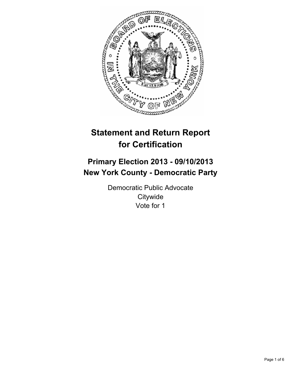

# **Statement and Return Report for Certification**

# **Primary Election 2013 - 09/10/2013 New York County - Democratic Party**

Democratic Public Advocate **Citywide** Vote for 1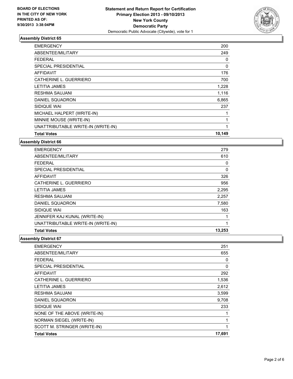

| <b>EMERGENCY</b>                   | 200    |
|------------------------------------|--------|
| ABSENTEE/MILITARY                  | 249    |
| FEDERAL                            | 0      |
| <b>SPECIAL PRESIDENTIAL</b>        | 0      |
| <b>AFFIDAVIT</b>                   | 176    |
| CATHERINE L. GUERRIERO             | 700    |
| <b>LETITIA JAMES</b>               | 1,228  |
| <b>RESHMA SAUJANI</b>              | 1,116  |
| DANIEL SQUADRON                    | 6,865  |
| SIDIQUE WAI                        | 237    |
| MICHAEL HALPERT (WRITE-IN)         |        |
| MINNIE MOUSE (WRITE-IN)            |        |
| UNATTRIBUTABLE WRITE-IN (WRITE-IN) | 1      |
| <b>Total Votes</b>                 | 10,149 |

**Assembly District 66**

| <b>EMERGENCY</b>                   | 279      |
|------------------------------------|----------|
| ABSENTEE/MILITARY                  | 610      |
| <b>FEDERAL</b>                     | 0        |
| SPECIAL PRESIDENTIAL               | $\Omega$ |
| <b>AFFIDAVIT</b>                   | 326      |
| CATHERINE L. GUERRIERO             | 956      |
| <b>LETITIA JAMES</b>               | 2,295    |
| <b>RESHMA SAUJANI</b>              | 2,257    |
| DANIEL SQUADRON                    | 7,580    |
| SIDIQUE WAI                        | 163      |
| JENNIFER KAJ KUNAL (WRITE-IN)      |          |
| UNATTRIBUTABLE WRITE-IN (WRITE-IN) | 1        |
| <b>Total Votes</b>                 | 13,253   |

| <b>EMERGENCY</b>             | 251    |
|------------------------------|--------|
| ABSENTEE/MILITARY            | 655    |
| FEDERAL                      | 0      |
| <b>SPECIAL PRESIDENTIAL</b>  | 0      |
| <b>AFFIDAVIT</b>             | 292    |
| CATHERINE L. GUERRIERO       | 1,536  |
| <b>LETITIA JAMES</b>         | 2,612  |
| <b>RESHMA SAUJANI</b>        | 3,599  |
| DANIEL SQUADRON              | 9,708  |
| SIDIQUE WAI                  | 233    |
| NONE OF THE ABOVE (WRITE-IN) | 1      |
| NORMAN SIEGEL (WRITE-IN)     | 1      |
| SCOTT M. STRINGER (WRITE-IN) | 1      |
| <b>Total Votes</b>           | 17,691 |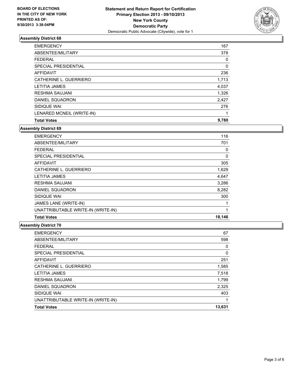

| <b>EMERGENCY</b>          | 167   |
|---------------------------|-------|
| ABSENTEE/MILITARY         | 378   |
| <b>FEDERAL</b>            | 0     |
| SPECIAL PRESIDENTIAL      | 0     |
| <b>AFFIDAVIT</b>          | 236   |
| CATHERINE L. GUERRIERO    | 1,713 |
| <b>LETITIA JAMES</b>      | 4,037 |
| <b>RESHMA SAUJANI</b>     | 1,326 |
| DANIEL SQUADRON           | 2,427 |
| SIDIQUE WAI               | 276   |
| LENARED MCNEIL (WRITE-IN) | 1     |
| <b>Total Votes</b>        | 9,780 |

#### **Assembly District 69**

| <b>EMERGENCY</b>                   | 116    |
|------------------------------------|--------|
| ABSENTEE/MILITARY                  | 701    |
| <b>FEDERAL</b>                     | 0      |
| <b>SPECIAL PRESIDENTIAL</b>        | 0      |
| <b>AFFIDAVIT</b>                   | 305    |
| CATHERINE L. GUERRIERO             | 1,629  |
| LETITIA JAMES                      | 4,647  |
| <b>RESHMA SAUJANI</b>              | 3,286  |
| DANIEL SQUADRON                    | 8,282  |
| SIDIQUE WAI                        | 300    |
| JAMES LANE (WRITE-IN)              |        |
| UNATTRIBUTABLE WRITE-IN (WRITE-IN) | 1      |
| <b>Total Votes</b>                 | 18,146 |

| <b>EMERGENCY</b>                   | 67       |
|------------------------------------|----------|
| ABSENTEE/MILITARY                  | 598      |
| <b>FEDERAL</b>                     | 0        |
| SPECIAL PRESIDENTIAL               | $\Omega$ |
| <b>AFFIDAVIT</b>                   | 251      |
| CATHERINE L. GUERRIERO             | 1,585    |
| <b>LETITIA JAMES</b>               | 7,518    |
| <b>RESHMA SAUJANI</b>              | 1,799    |
| DANIEL SQUADRON                    | 2,325    |
| SIDIQUE WAI                        | 403      |
| UNATTRIBUTABLE WRITE-IN (WRITE-IN) |          |
| <b>Total Votes</b>                 | 13,631   |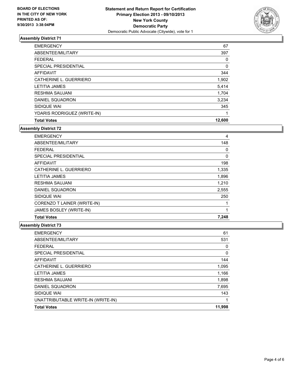

| <b>EMERGENCY</b>            | 67     |
|-----------------------------|--------|
| ABSENTEE/MILITARY           | 397    |
| <b>FEDERAL</b>              | 0      |
| SPECIAL PRESIDENTIAL        | 0      |
| <b>AFFIDAVIT</b>            | 344    |
| CATHERINE L. GUERRIERO      | 1,902  |
| <b>LETITIA JAMES</b>        | 5,414  |
| <b>RESHMA SAUJANI</b>       | 1.704  |
| DANIEL SQUADRON             | 3,234  |
| SIDIQUE WAI                 | 345    |
| YDARIS RODRIGUEZ (WRITE-IN) | 1      |
| <b>Total Votes</b>          | 12,600 |

**Assembly District 72**

| <b>EMERGENCY</b>            | 4     |
|-----------------------------|-------|
| ABSENTEE/MILITARY           | 148   |
| <b>FEDERAL</b>              | 0     |
| <b>SPECIAL PRESIDENTIAL</b> | 0     |
| AFFIDAVIT                   | 198   |
| CATHERINE L. GUERRIERO      | 1,335 |
| <b>LETITIA JAMES</b>        | 1,896 |
| <b>RESHMA SAUJANI</b>       | 1,210 |
| DANIEL SQUADRON             | 2,555 |
| SIDIQUE WAI                 | 250   |
| CORENZO T LAINER (WRITE-IN) |       |
| JAMES BOSLEY (WRITE-IN)     |       |
| <b>Total Votes</b>          | 7,248 |

| <b>EMERGENCY</b>                   | 61     |
|------------------------------------|--------|
| ABSENTEE/MILITARY                  | 531    |
| <b>FEDERAL</b>                     | 0      |
| <b>SPECIAL PRESIDENTIAL</b>        | 0      |
| <b>AFFIDAVIT</b>                   | 144    |
| CATHERINE L. GUERRIERO             | 1,095  |
| <b>LETITIA JAMES</b>               | 1,166  |
| <b>RESHMA SAUJANI</b>              | 1,898  |
| DANIEL SQUADRON                    | 7,695  |
| SIDIQUE WAI                        | 143    |
| UNATTRIBUTABLE WRITE-IN (WRITE-IN) |        |
| <b>Total Votes</b>                 | 11,998 |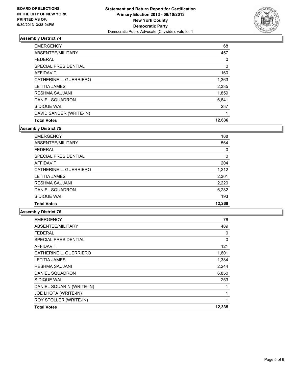

| <b>EMERGENCY</b>        | 68     |
|-------------------------|--------|
| ABSENTEE/MILITARY       | 457    |
| <b>FEDERAL</b>          | 0      |
| SPECIAL PRESIDENTIAL    | 0      |
| <b>AFFIDAVIT</b>        | 160    |
| CATHERINE L. GUERRIERO  | 1,363  |
| <b>LETITIA JAMES</b>    | 2,335  |
| <b>RESHMA SAUJANI</b>   | 1,859  |
| DANIEL SQUADRON         | 6,841  |
| SIDIQUE WAI             | 237    |
| DAVID SANDER (WRITE-IN) | 1      |
| <b>Total Votes</b>      | 12,636 |

**Assembly District 75**

| <b>EMERGENCY</b>       | 188    |
|------------------------|--------|
| ABSENTEE/MILITARY      | 564    |
| <b>FEDERAL</b>         | 0      |
| SPECIAL PRESIDENTIAL   | 0      |
| <b>AFFIDAVIT</b>       | 204    |
| CATHERINE L. GUERRIERO | 1,212  |
| <b>LETITIA JAMES</b>   | 2,361  |
| <b>RESHMA SAUJANI</b>  | 2,220  |
| DANIEL SQUADRON        | 6,282  |
| SIDIQUE WAI            | 193    |
| <b>Total Votes</b>     | 12,268 |

| <b>EMERGENCY</b>          | 76     |
|---------------------------|--------|
| ABSENTEE/MILITARY         | 489    |
| <b>FEDERAL</b>            | 0      |
| SPECIAL PRESIDENTIAL      | 0      |
| <b>AFFIDAVIT</b>          | 121    |
| CATHERINE L. GUERRIERO    | 1,601  |
| LETITIA JAMES             | 1,384  |
| <b>RESHMA SAUJANI</b>     | 2,244  |
| <b>DANIEL SQUADRON</b>    | 6,850  |
| SIDIQUE WAI               | 253    |
| DANIEL SQUARIN (WRITE-IN) | 1      |
| JOE LHOTA (WRITE-IN)      | 1      |
| ROY STOLLER (WRITE-IN)    | 1      |
| <b>Total Votes</b>        | 12,335 |